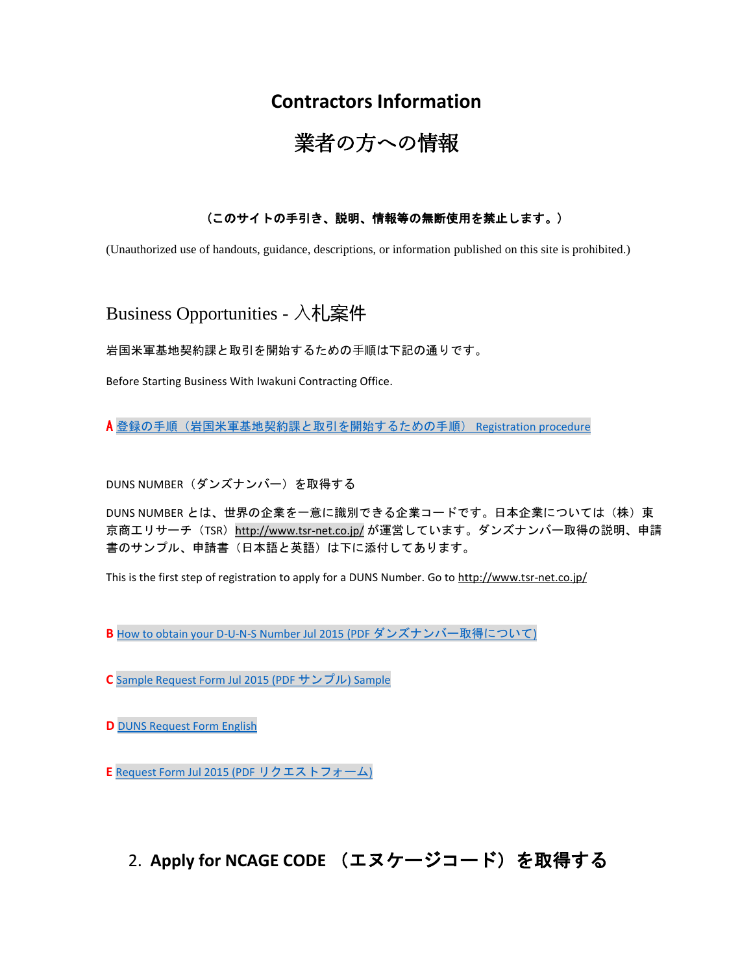# **Contractors Information**

# 業者の方への情報

#### (このサイトの手引き、説明、情報等の無断使用を禁止します。)

(Unauthorized use of handouts, guidance, descriptions, or information published on this site is prohibited.)

Business Opportunities - 入札案件

岩国米軍基地契約課と取引を開始するための⼿順は下記の通りです。

Before Starting Business With Iwakuni Contracting Office.

A [登録の手順\(岩国米軍基地契約課と取引を開始するための手順\)](https://www.mcasiwakuni.marines.mil/Portals/112/Docs/contracting/A.docx) Registration [procedure](https://www.mcasiwakuni.marines.mil/Portals/112/Docs/contracting/A.docx)

DUNS NUMBER (ダンズナンバー)を取得する

DUNS NUMBER とは、世界の企業を一意に識別できる企業コードです。日本企業については(株)東 京商エリサーチ (TSR) http://www.tsr-net.co.jp/ が運営しています。ダンズナンバー取得の説明、申請 書のサンプル、申請書(日本語と英語)は下に添付してあります。

This is the first step of registration to apply for a DUNS Number. Go to http://www.tsr-net.co.jp/

**B** [How to obtain your D-U-N-S Number Jul 2015 \(PDF](https://www.mcasiwakuni.marines.mil/Portals/112/Docs/contracting/B.pdf) ダンズナンバー取得について)

**C** [Sample Request Form Jul 2015 \(PDF](https://www.mcasiwakuni.marines.mil/Portals/112/Docs/contracting/C.pdf) サンプル) Sample

**D** [DUNS Request Form English](https://www.mcasiwakuni.marines.mil/Portals/112/Docs/contracting/D.pdf)

**E** [Request Form Jul 2015 \(PDF](https://www.mcasiwakuni.marines.mil/Portals/112/Docs/contracting/E.pdf) リクエストフォーム)

2. **Apply for NCAGE CODE** (エヌケージコード)を取得する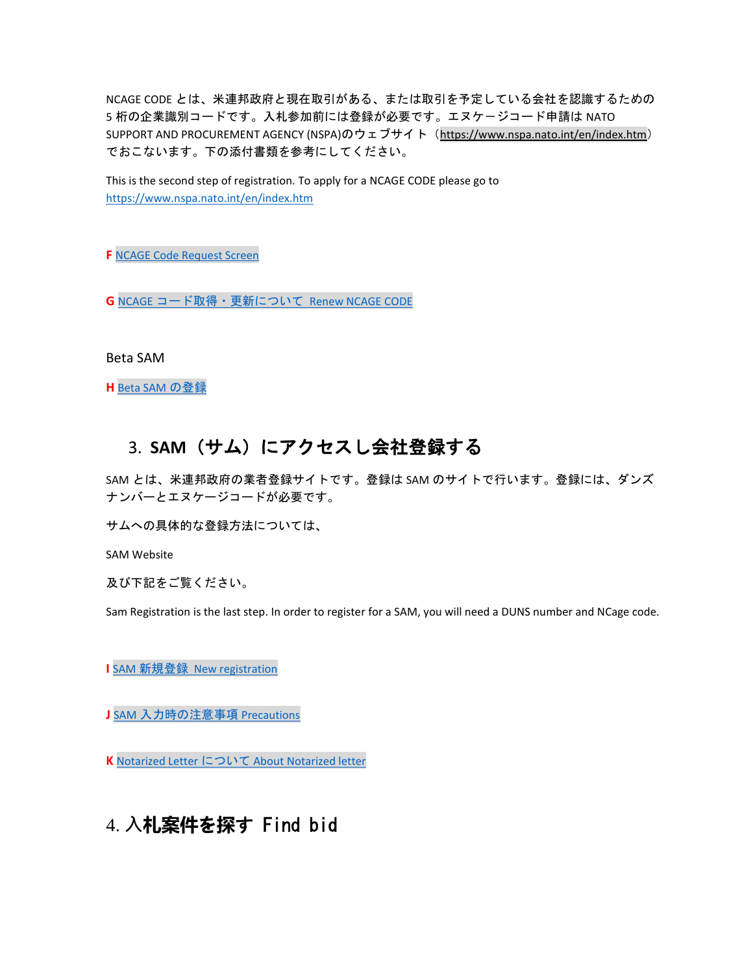NCAGE CODE とは、米連邦政府と現在取引がある、または取引を予定している会社を認識するための 5 桁の企業識別コードです。入札参加前には登録が必要です。エヌケージコード申請は NATO SUPPORT AND PROCUREMENT AGENCY (NSPA)のウェブサイト(https://www.nspa.nato.int/en/index.htm) でおこないます。下の添付書類を参考にしてください。

This is the second step of registration. To apply for a NCAGE CODE please go to <https://www.nspa.nato.int/en/index.htm>

**F** [NCAGE Code Request Screen](https://www.mcasiwakuni.marines.mil/Portals/112/Docs/contracting/F.pdf)

**G** NCAGE [コード取得・更新について](https://www.mcasiwakuni.marines.mil/Portals/112/Docs/contracting/G.pdf) Renew NCAGE CODE

Beta SAM

**H** [Beta SAM](https://www.mcasiwakuni.marines.mil/Portals/112/Docs/contracting/H.pdf) の登録

### 3. **SAM**(サム)にアクセスし会社登録する

SAM とは、米連邦政府の業者登録サイトです。登録は SAM のサイトで行います。登録には、ダンズ ナンバーとエヌケージコードが必要です。

サムへの具体的な登録方法については、

SAM Website

及び下記をご覧ください。

Sam Registration is the last step. In order to register for a SAM, you will need a DUNS number and NCage code.

**I** SAM [新規登録](https://www.mcasiwakuni.marines.mil/Portals/112/Docs/contracting/I.pdf) New registration

**J** SAM [入力時の注意事項](https://www.mcasiwakuni.marines.mil/Portals/112/Docs/contracting/J.pdf) Precautions

**K** [Notarized Letter](https://www.mcasiwakuni.marines.mil/Portals/112/Docs/contracting/K.pdf) について About Notarized letter

# 4. **⼊札案件を探**す Find bid